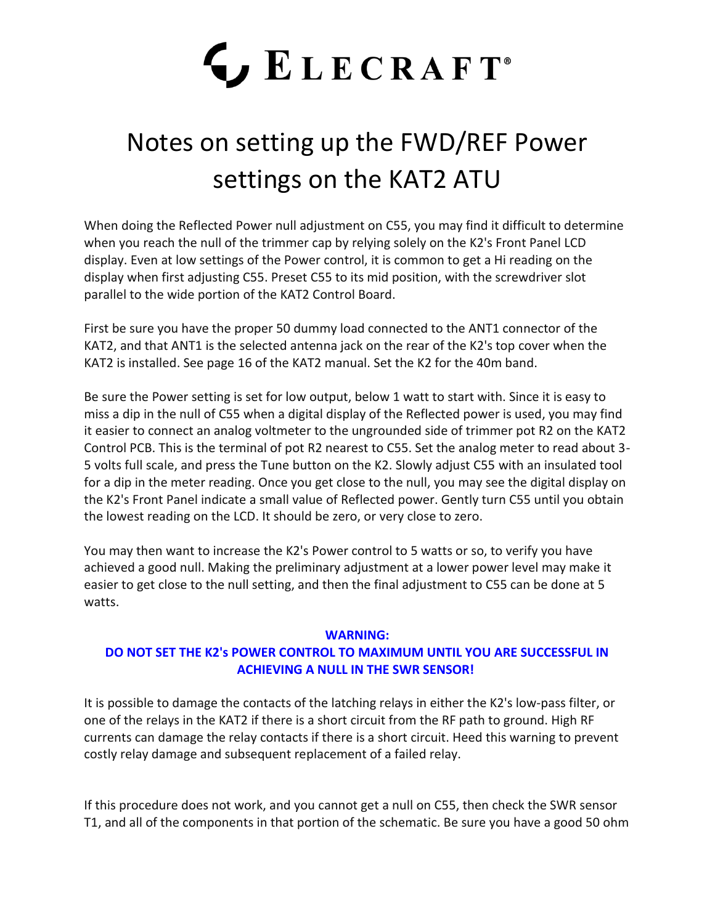# LECRAFT®

### Notes on setting up the FWD/REF Power settings on the KAT2 ATU

When doing the Reflected Power null adjustment on C55, you may find it difficult to determine when you reach the null of the trimmer cap by relying solely on the K2's Front Panel LCD display. Even at low settings of the Power control, it is common to get a Hi reading on the display when first adjusting C55. Preset C55 to its mid position, with the screwdriver slot parallel to the wide portion of the KAT2 Control Board.

First be sure you have the proper 50 dummy load connected to the ANT1 connector of the KAT2, and that ANT1 is the selected antenna jack on the rear of the K2's top cover when the KAT2 is installed. See page 16 of the KAT2 manual. Set the K2 for the 40m band.

Be sure the Power setting is set for low output, below 1 watt to start with. Since it is easy to miss a dip in the null of C55 when a digital display of the Reflected power is used, you may find it easier to connect an analog voltmeter to the ungrounded side of trimmer pot R2 on the KAT2 Control PCB. This is the terminal of pot R2 nearest to C55. Set the analog meter to read about 3- 5 volts full scale, and press the Tune button on the K2. Slowly adjust C55 with an insulated tool for a dip in the meter reading. Once you get close to the null, you may see the digital display on the K2's Front Panel indicate a small value of Reflected power. Gently turn C55 until you obtain the lowest reading on the LCD. It should be zero, or very close to zero.

You may then want to increase the K2's Power control to 5 watts or so, to verify you have achieved a good null. Making the preliminary adjustment at a lower power level may make it easier to get close to the null setting, and then the final adjustment to C55 can be done at 5 watts.

#### **WARNING:**

### **DO NOT SET THE K2's POWER CONTROL TO MAXIMUM UNTIL YOU ARE SUCCESSFUL IN ACHIEVING A NULL IN THE SWR SENSOR!**

It is possible to damage the contacts of the latching relays in either the K2's low-pass filter, or one of the relays in the KAT2 if there is a short circuit from the RF path to ground. High RF currents can damage the relay contacts if there is a short circuit. Heed this warning to prevent costly relay damage and subsequent replacement of a failed relay.

If this procedure does not work, and you cannot get a null on C55, then check the SWR sensor T1, and all of the components in that portion of the schematic. Be sure you have a good 50 ohm